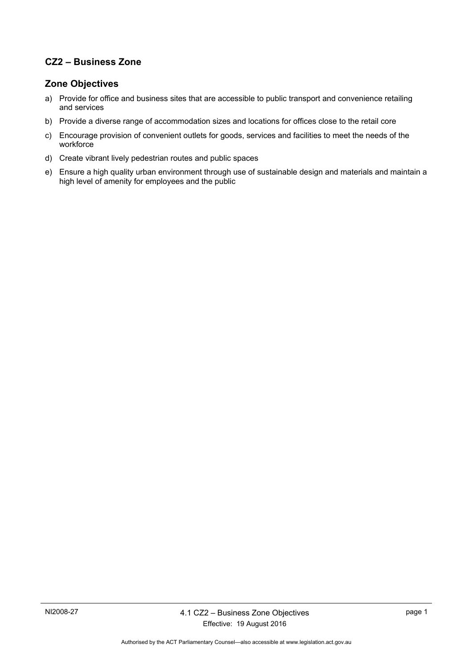# **CZ2 – Business Zone**

### **Zone Objectives**

- a) Provide for office and business sites that are accessible to public transport and convenience retailing and services
- b) Provide a diverse range of accommodation sizes and locations for offices close to the retail core
- c) Encourage provision of convenient outlets for goods, services and facilities to meet the needs of the workforce
- d) Create vibrant lively pedestrian routes and public spaces
- e) Ensure a high quality urban environment through use of sustainable design and materials and maintain a high level of amenity for employees and the public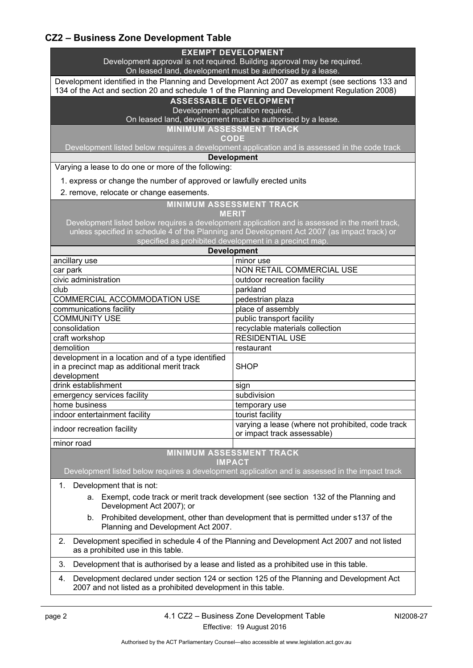## **CZ2 – Business Zone Development Table**

| <b>EXEMPT DEVELOPMENT</b><br>Development approval is not required. Building approval may be required.<br>On leased land, development must be authorised by a lease.                              |                                                                                  |
|--------------------------------------------------------------------------------------------------------------------------------------------------------------------------------------------------|----------------------------------------------------------------------------------|
| Development identified in the Planning and Development Act 2007 as exempt (see sections 133 and<br>134 of the Act and section 20 and schedule 1 of the Planning and Development Regulation 2008) |                                                                                  |
| <b>ASSESSABLE DEVELOPMENT</b>                                                                                                                                                                    |                                                                                  |
| Development application required.<br>On leased land, development must be authorised by a lease.                                                                                                  |                                                                                  |
|                                                                                                                                                                                                  | <b>MINIMUM ASSESSMENT TRACK</b>                                                  |
|                                                                                                                                                                                                  | <b>CODE</b>                                                                      |
| Development listed below requires a development application and is assessed in the code track                                                                                                    |                                                                                  |
| <b>Development</b><br>Varying a lease to do one or more of the following:                                                                                                                        |                                                                                  |
| 1. express or change the number of approved or lawfully erected units                                                                                                                            |                                                                                  |
| 2. remove, relocate or change easements.                                                                                                                                                         |                                                                                  |
| <b>MINIMUM ASSESSMENT TRACK</b>                                                                                                                                                                  |                                                                                  |
| <b>MERIT</b>                                                                                                                                                                                     |                                                                                  |
| Development listed below requires a development application and is assessed in the merit track,                                                                                                  |                                                                                  |
| unless specified in schedule 4 of the Planning and Development Act 2007 (as impact track) or<br>specified as prohibited development in a precinct map.                                           |                                                                                  |
| <b>Development</b>                                                                                                                                                                               |                                                                                  |
| ancillary use                                                                                                                                                                                    | minor use                                                                        |
| car park                                                                                                                                                                                         | NON RETAIL COMMERCIAL USE                                                        |
| civic administration                                                                                                                                                                             | outdoor recreation facility                                                      |
| club                                                                                                                                                                                             | parkland                                                                         |
| COMMERCIAL ACCOMMODATION USE                                                                                                                                                                     | pedestrian plaza                                                                 |
| communications facility                                                                                                                                                                          | place of assembly                                                                |
| <b>COMMUNITY USE</b>                                                                                                                                                                             | public transport facility                                                        |
| consolidation                                                                                                                                                                                    | recyclable materials collection                                                  |
| craft workshop<br>demolition                                                                                                                                                                     | <b>RESIDENTIAL USE</b>                                                           |
| development in a location and of a type identified                                                                                                                                               | restaurant                                                                       |
| in a precinct map as additional merit track                                                                                                                                                      | <b>SHOP</b>                                                                      |
| development                                                                                                                                                                                      |                                                                                  |
| drink establishment                                                                                                                                                                              | sign                                                                             |
| emergency services facility                                                                                                                                                                      | subdivision                                                                      |
| home business                                                                                                                                                                                    | temporary use                                                                    |
| indoor entertainment facility                                                                                                                                                                    | tourist facility                                                                 |
| indoor recreation facility                                                                                                                                                                       | varying a lease (where not prohibited, code track<br>or impact track assessable) |
| minor road                                                                                                                                                                                       |                                                                                  |
| <b>MINIMUM ASSESSMENT TRACK</b>                                                                                                                                                                  |                                                                                  |
| <b>IMPACT</b><br>Development listed below requires a development application and is assessed in the impact track                                                                                 |                                                                                  |
| Development that is not:<br>1.                                                                                                                                                                   |                                                                                  |
| Exempt, code track or merit track development (see section 132 of the Planning and<br>а.<br>Development Act 2007); or                                                                            |                                                                                  |
| Prohibited development, other than development that is permitted under s137 of the<br>b.<br>Planning and Development Act 2007.                                                                   |                                                                                  |
| Development specified in schedule 4 of the Planning and Development Act 2007 and not listed<br>2.<br>as a prohibited use in this table.                                                          |                                                                                  |
| 3.<br>Development that is authorised by a lease and listed as a prohibited use in this table.                                                                                                    |                                                                                  |
| Development declared under section 124 or section 125 of the Planning and Development Act<br>4.<br>2007 and not listed as a prohibited development in this table.                                |                                                                                  |